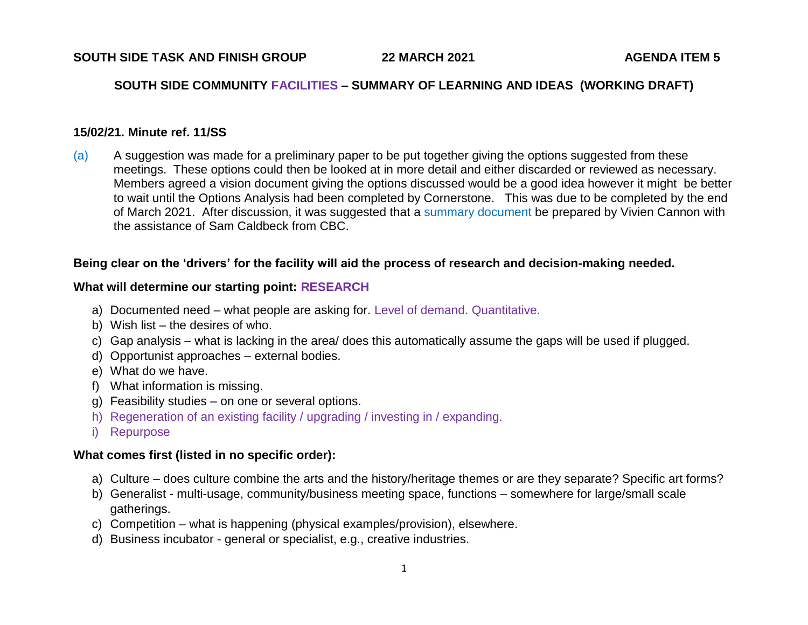### **SOUTH SIDE COMMUNITY FACILITIES – SUMMARY OF LEARNING AND IDEAS (WORKING DRAFT)**

#### **15/02/21. Minute ref. 11/SS**

(a) A suggestion was made for a preliminary paper to be put together giving the options suggested from these meetings. These options could then be looked at in more detail and either discarded or reviewed as necessary. Members agreed a vision document giving the options discussed would be a good idea however it might be better to wait until the Options Analysis had been completed by Cornerstone. This was due to be completed by the end of March 2021. After discussion, it was suggested that a summary document be prepared by Vivien Cannon with the assistance of Sam Caldbeck from CBC.

### **Being clear on the 'drivers' for the facility will aid the process of research and decision-making needed.**

## **What will determine our starting point: RESEARCH**

- a) Documented need what people are asking for. Level of demand. Quantitative.
- b) Wish list the desires of who.
- c) Gap analysis what is lacking in the area/ does this automatically assume the gaps will be used if plugged.
- d) Opportunist approaches external bodies.
- e) What do we have.
- f) What information is missing.
- g) Feasibility studies on one or several options.
- h) Regeneration of an existing facility / upgrading / investing in / expanding.
- i) Repurpose

# **What comes first (listed in no specific order):**

- a) Culture does culture combine the arts and the history/heritage themes or are they separate? Specific art forms?
- b) Generalist multi-usage, community/business meeting space, functions somewhere for large/small scale gatherings.
- c) Competition what is happening (physical examples/provision), elsewhere.
- d) Business incubator general or specialist, e.g., creative industries.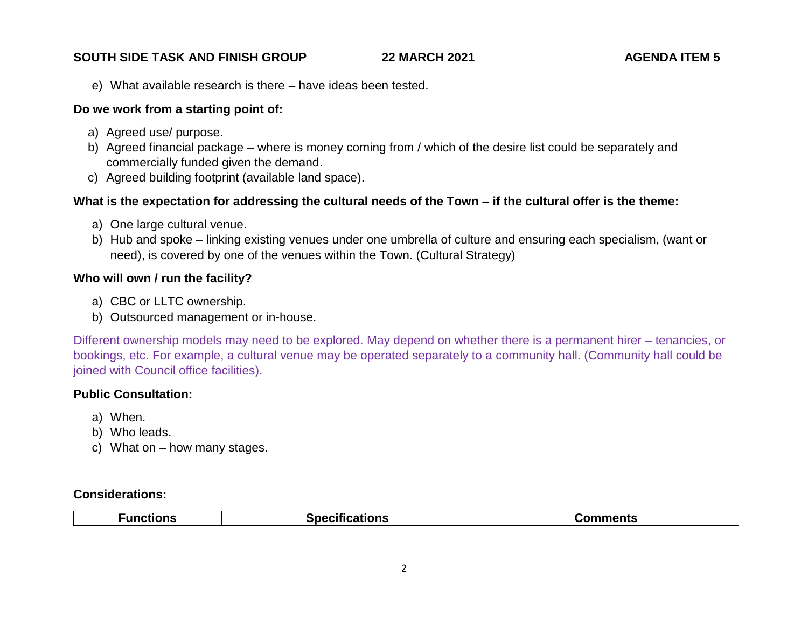e) What available research is there – have ideas been tested.

#### **Do we work from a starting point of:**

- a) Agreed use/ purpose.
- b) Agreed financial package where is money coming from / which of the desire list could be separately and commercially funded given the demand.
- c) Agreed building footprint (available land space).

### **What is the expectation for addressing the cultural needs of the Town – if the cultural offer is the theme:**

- a) One large cultural venue.
- b) Hub and spoke linking existing venues under one umbrella of culture and ensuring each specialism, (want or need), is covered by one of the venues within the Town. (Cultural Strategy)

#### **Who will own / run the facility?**

- a) CBC or LLTC ownership.
- b) Outsourced management or in-house.

Different ownership models may need to be explored. May depend on whether there is a permanent hirer – tenancies, or bookings, etc. For example, a cultural venue may be operated separately to a community hall. (Community hall could be joined with Council office facilities).

# **Public Consultation:**

- a) When.
- b) Who leads.
- c) What on how many stages.

#### **Considerations:**

| .<br>Specifications<br>omments<br>- ON<br>CUONS<br>. U I |
|----------------------------------------------------------|
|----------------------------------------------------------|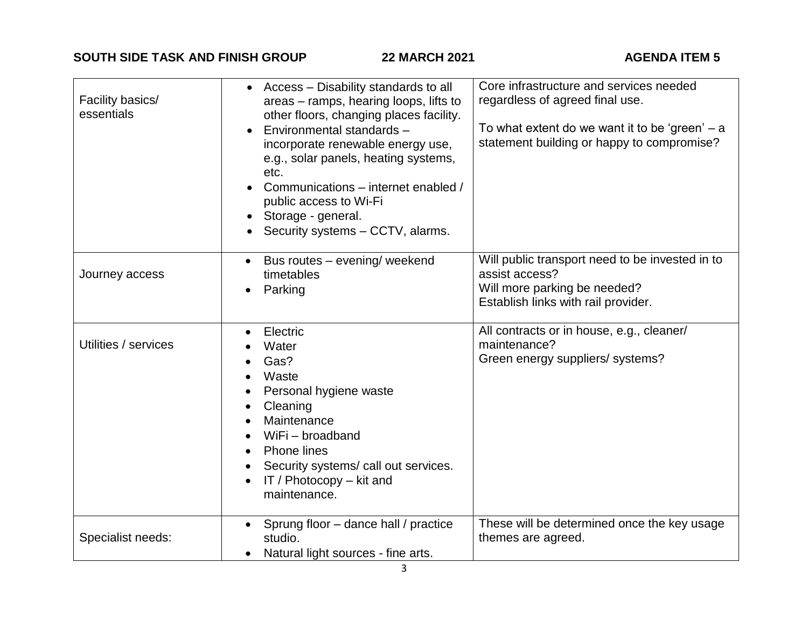| Facility basics/<br>essentials | Access – Disability standards to all<br>$\bullet$<br>areas - ramps, hearing loops, lifts to<br>other floors, changing places facility.<br>Environmental standards -<br>incorporate renewable energy use,<br>e.g., solar panels, heating systems,<br>etc.<br>Communications - internet enabled /<br>public access to Wi-Fi<br>Storage - general.<br>Security systems - CCTV, alarms. | Core infrastructure and services needed<br>regardless of agreed final use.<br>To what extent do we want it to be 'green' $- a$<br>statement building or happy to compromise? |
|--------------------------------|-------------------------------------------------------------------------------------------------------------------------------------------------------------------------------------------------------------------------------------------------------------------------------------------------------------------------------------------------------------------------------------|------------------------------------------------------------------------------------------------------------------------------------------------------------------------------|
| Journey access                 | Bus routes - evening/ weekend<br>$\bullet$<br>timetables<br>Parking<br>$\bullet$                                                                                                                                                                                                                                                                                                    | Will public transport need to be invested in to<br>assist access?<br>Will more parking be needed?<br>Establish links with rail provider.                                     |
| Utilities / services           | Electric<br>$\bullet$<br>Water<br>Gas?<br>$\bullet$<br>Waste<br>Personal hygiene waste<br>$\bullet$<br>Cleaning<br>$\bullet$<br>Maintenance<br>WiFi - broadband<br><b>Phone lines</b><br>$\bullet$<br>Security systems/ call out services.<br>$\bullet$<br>IT / Photocopy $-$ kit and<br>$\bullet$<br>maintenance.                                                                  | All contracts or in house, e.g., cleaner/<br>maintenance?<br>Green energy suppliers/ systems?                                                                                |
| Specialist needs:              | Sprung floor - dance hall / practice<br>studio.<br>Natural light sources - fine arts.                                                                                                                                                                                                                                                                                               | These will be determined once the key usage<br>themes are agreed.                                                                                                            |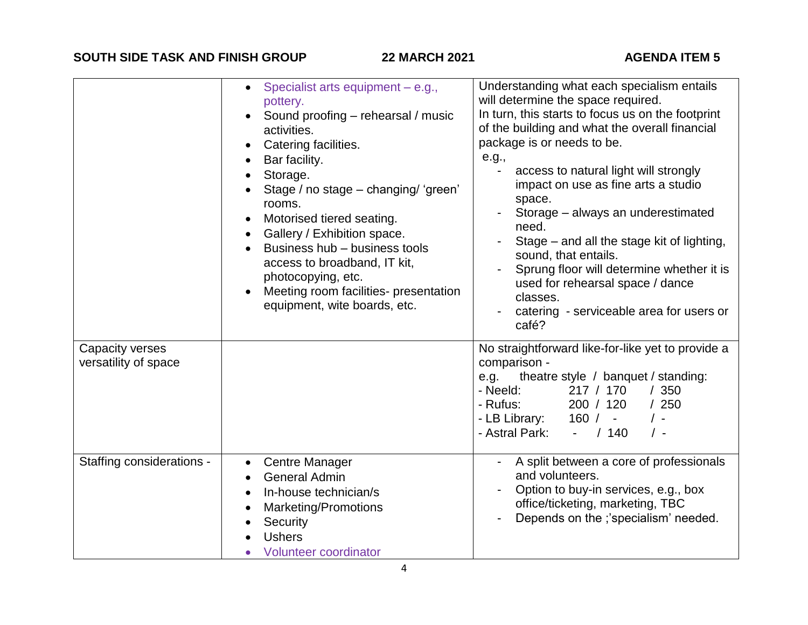|                                         | Specialist arts equipment - e.g.,<br>$\bullet$<br>pottery.<br>Sound proofing - rehearsal / music<br>activities.<br>Catering facilities.<br>$\bullet$<br>Bar facility.<br>Storage.<br>Stage / no stage - changing/ 'green'<br>rooms.<br>Motorised tiered seating.<br>$\bullet$<br>Gallery / Exhibition space.<br>$\bullet$<br>Business hub - business tools<br>access to broadband, IT kit,<br>photocopying, etc.<br>Meeting room facilities- presentation<br>equipment, wite boards, etc. | Understanding what each specialism entails<br>will determine the space required.<br>In turn, this starts to focus us on the footprint<br>of the building and what the overall financial<br>package is or needs to be.<br>e.g.,<br>access to natural light will strongly<br>impact on use as fine arts a studio<br>space.<br>Storage - always an underestimated<br>need.<br>Stage – and all the stage kit of lighting,<br>sound, that entails.<br>Sprung floor will determine whether it is<br>used for rehearsal space / dance<br>classes.<br>catering - serviceable area for users or<br>café? |
|-----------------------------------------|-------------------------------------------------------------------------------------------------------------------------------------------------------------------------------------------------------------------------------------------------------------------------------------------------------------------------------------------------------------------------------------------------------------------------------------------------------------------------------------------|-------------------------------------------------------------------------------------------------------------------------------------------------------------------------------------------------------------------------------------------------------------------------------------------------------------------------------------------------------------------------------------------------------------------------------------------------------------------------------------------------------------------------------------------------------------------------------------------------|
| Capacity verses<br>versatility of space |                                                                                                                                                                                                                                                                                                                                                                                                                                                                                           | No straightforward like-for-like yet to provide a<br>comparison -<br>theatre style / banquet / standing:<br>e.g.<br>217 / 170<br>/350<br>- Neeld:<br>200 / 120<br>- Rufus:<br>/250<br>- LB Library:<br>160/<br>$/$ -<br>$\omega_{\rm{max}}$<br>- Astral Park:<br>/140<br>$\prime$ -<br>$\sim$ 10 $\pm$                                                                                                                                                                                                                                                                                          |
| Staffing considerations -               | <b>Centre Manager</b><br>$\bullet$<br><b>General Admin</b><br>In-house technician/s<br>$\bullet$<br><b>Marketing/Promotions</b><br>$\bullet$<br>Security<br><b>Ushers</b><br>Volunteer coordinator                                                                                                                                                                                                                                                                                        | A split between a core of professionals<br>and volunteers.<br>Option to buy-in services, e.g., box<br>office/ticketing, marketing, TBC<br>Depends on the ;'specialism' needed.                                                                                                                                                                                                                                                                                                                                                                                                                  |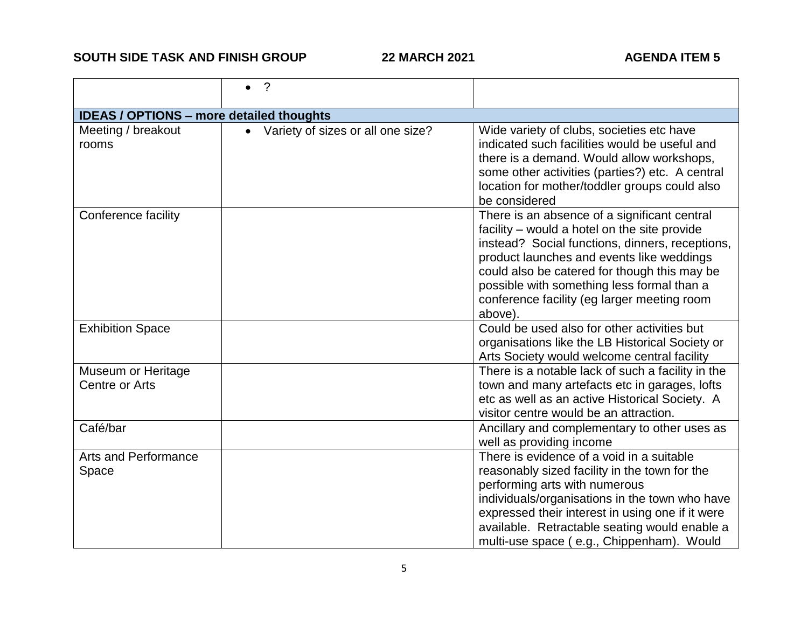|                                                 | $\cdot$                                        |                                                                                                                                                                                                                                                                                                                                                      |  |  |
|-------------------------------------------------|------------------------------------------------|------------------------------------------------------------------------------------------------------------------------------------------------------------------------------------------------------------------------------------------------------------------------------------------------------------------------------------------------------|--|--|
| <b>IDEAS / OPTIONS - more detailed thoughts</b> |                                                |                                                                                                                                                                                                                                                                                                                                                      |  |  |
| Meeting / breakout<br>rooms                     | Variety of sizes or all one size?<br>$\bullet$ | Wide variety of clubs, societies etc have<br>indicated such facilities would be useful and<br>there is a demand. Would allow workshops,<br>some other activities (parties?) etc. A central<br>location for mother/toddler groups could also<br>be considered                                                                                         |  |  |
| Conference facility                             |                                                | There is an absence of a significant central<br>facility – would a hotel on the site provide<br>instead? Social functions, dinners, receptions,<br>product launches and events like weddings<br>could also be catered for though this may be<br>possible with something less formal than a<br>conference facility (eg larger meeting room<br>above). |  |  |
| <b>Exhibition Space</b>                         |                                                | Could be used also for other activities but<br>organisations like the LB Historical Society or<br>Arts Society would welcome central facility                                                                                                                                                                                                        |  |  |
| Museum or Heritage<br>Centre or Arts            |                                                | There is a notable lack of such a facility in the<br>town and many artefacts etc in garages, lofts<br>etc as well as an active Historical Society. A<br>visitor centre would be an attraction.                                                                                                                                                       |  |  |
| Café/bar                                        |                                                | Ancillary and complementary to other uses as<br>well as providing income                                                                                                                                                                                                                                                                             |  |  |
| <b>Arts and Performance</b><br>Space            |                                                | There is evidence of a void in a suitable<br>reasonably sized facility in the town for the<br>performing arts with numerous<br>individuals/organisations in the town who have<br>expressed their interest in using one if it were<br>available. Retractable seating would enable a<br>multi-use space (e.g., Chippenham). Would                      |  |  |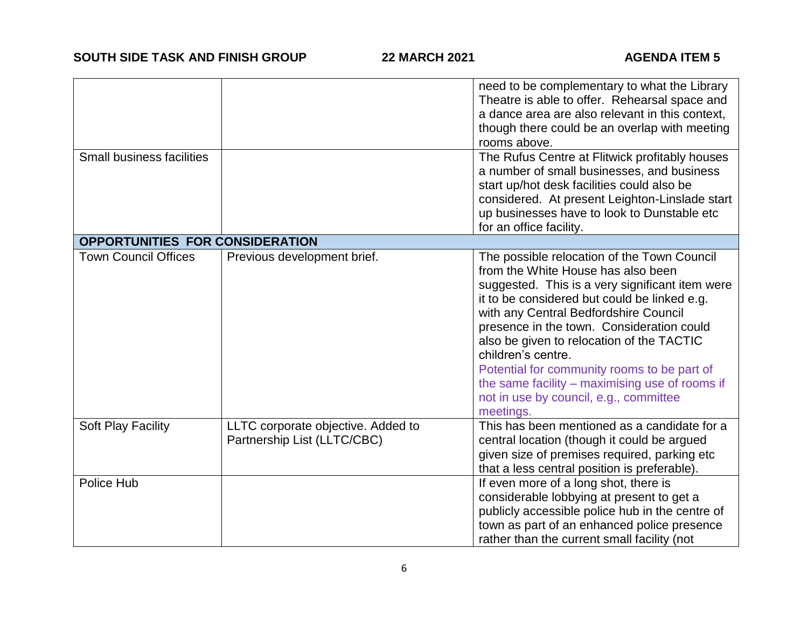|                                  |                                                                   | need to be complementary to what the Library<br>Theatre is able to offer. Rehearsal space and<br>a dance area are also relevant in this context,<br>though there could be an overlap with meeting<br>rooms above.                                                                                                                                                                                                                                                                                       |
|----------------------------------|-------------------------------------------------------------------|---------------------------------------------------------------------------------------------------------------------------------------------------------------------------------------------------------------------------------------------------------------------------------------------------------------------------------------------------------------------------------------------------------------------------------------------------------------------------------------------------------|
| <b>Small business facilities</b> |                                                                   | The Rufus Centre at Flitwick profitably houses<br>a number of small businesses, and business<br>start up/hot desk facilities could also be<br>considered. At present Leighton-Linslade start<br>up businesses have to look to Dunstable etc<br>for an office facility.                                                                                                                                                                                                                                  |
| OPPORTUNITIES FOR CONSIDERATION  |                                                                   |                                                                                                                                                                                                                                                                                                                                                                                                                                                                                                         |
| <b>Town Council Offices</b>      | Previous development brief.                                       | The possible relocation of the Town Council<br>from the White House has also been<br>suggested. This is a very significant item were<br>it to be considered but could be linked e.g.<br>with any Central Bedfordshire Council<br>presence in the town. Consideration could<br>also be given to relocation of the TACTIC<br>children's centre.<br>Potential for community rooms to be part of<br>the same facility $-$ maximising use of rooms if<br>not in use by council, e.g., committee<br>meetings. |
| <b>Soft Play Facility</b>        | LLTC corporate objective. Added to<br>Partnership List (LLTC/CBC) | This has been mentioned as a candidate for a<br>central location (though it could be argued<br>given size of premises required, parking etc<br>that a less central position is preferable).                                                                                                                                                                                                                                                                                                             |
| Police Hub                       |                                                                   | If even more of a long shot, there is<br>considerable lobbying at present to get a<br>publicly accessible police hub in the centre of<br>town as part of an enhanced police presence<br>rather than the current small facility (not                                                                                                                                                                                                                                                                     |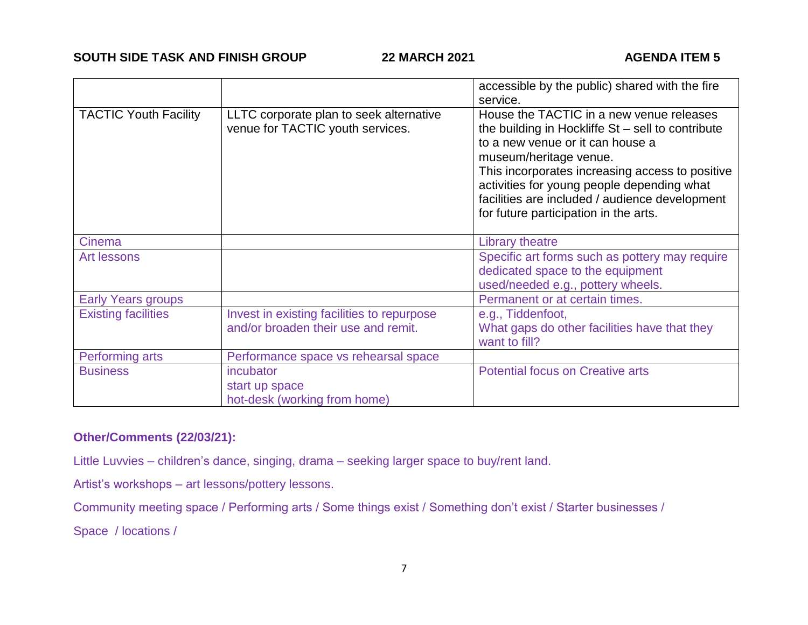|                              |                                                                                   | accessible by the public) shared with the fire<br>service.                                                                                                                                                                                                                                                                                                |
|------------------------------|-----------------------------------------------------------------------------------|-----------------------------------------------------------------------------------------------------------------------------------------------------------------------------------------------------------------------------------------------------------------------------------------------------------------------------------------------------------|
| <b>TACTIC Youth Facility</b> | LLTC corporate plan to seek alternative<br>venue for TACTIC youth services.       | House the TACTIC in a new venue releases<br>the building in Hockliffe $St$ – sell to contribute<br>to a new venue or it can house a<br>museum/heritage venue.<br>This incorporates increasing access to positive<br>activities for young people depending what<br>facilities are included / audience development<br>for future participation in the arts. |
| Cinema                       |                                                                                   | <b>Library theatre</b>                                                                                                                                                                                                                                                                                                                                    |
| <b>Art lessons</b>           |                                                                                   | Specific art forms such as pottery may require<br>dedicated space to the equipment<br>used/needed e.g., pottery wheels.                                                                                                                                                                                                                                   |
| <b>Early Years groups</b>    |                                                                                   | Permanent or at certain times.                                                                                                                                                                                                                                                                                                                            |
| <b>Existing facilities</b>   | Invest in existing facilities to repurpose<br>and/or broaden their use and remit. | e.g., Tiddenfoot,<br>What gaps do other facilities have that they<br>want to fill?                                                                                                                                                                                                                                                                        |
| Performing arts              | Performance space vs rehearsal space                                              |                                                                                                                                                                                                                                                                                                                                                           |
| <b>Business</b>              | incubator<br>start up space<br>hot-desk (working from home)                       | <b>Potential focus on Creative arts</b>                                                                                                                                                                                                                                                                                                                   |

# **Other/Comments (22/03/21):**

Little Luvvies – children's dance, singing, drama – seeking larger space to buy/rent land.

Artist's workshops – art lessons/pottery lessons.

Community meeting space / Performing arts / Some things exist / Something don't exist / Starter businesses /

Space / locations /